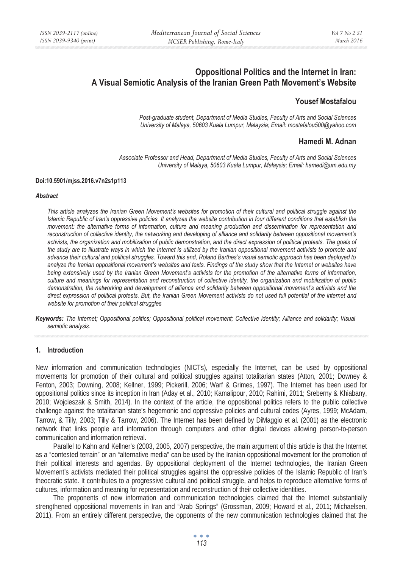# **Oppositional Politics and the Internet in Iran: A Visual Semiotic Analysis of the Iranian Green Path Movement's Website**

## **Yousef Mostafalou**

*Post-graduate student, Department of Media Studies, Faculty of Arts and Social Sciences University of Malaya, 50603 Kuala Lumpur, Malaysia; Email: mostafalou500@yahoo.com* 

## **Hamedi M. Adnan**

*Associate Professor and Head, Department of Media Studies, Faculty of Arts and Social Sciences University of Malaya, 50603 Kuala Lumpur, Malaysia; Email: hamedi@um.edu.my* 

#### **Doi:10.5901/mjss.2016.v7n2s1p113**

#### *Abstract*

*This article analyzes the Iranian Green Movement's websites for promotion of their cultural and political struggle against the Islamic Republic of Iran's oppressive policies. It analyzes the website contribution in four different conditions that establish the movement: the alternative forms of information, culture and meaning production and dissemination for representation and reconstruction of collective identity, the networking and developing of alliance and solidarity between oppositional movement's* activists, the organization and mobilization of public demonstration, and the direct expression of political protests. The goals of *the study are to illustrate ways in which the Internet is utilized by the Iranian oppositional movement activists to promote and advance their cultural and political struggles. Toward this end, Roland Barthes's visual semiotic approach has been deployed to* analyze the Iranian oppositional movement's websites and texts. Findings of the study show that the Internet or websites have *being extensively used by the Iranian Green Movement's activists for the promotion of the alternative forms of information, culture and meanings for representation and reconstruction of collective identity, the organization and mobilization of public demonstration, the networking and development of alliance and solidarity between oppositional movement's activists and the direct expression of political protests. But, the Iranian Green Movement activists do not used full potential of the internet and website for promotion of their political struggles* 

*Keywords: The Internet; Oppositional politics; Oppositional political movement; Collective identity; Alliance and solidarity; Visual semiotic analysis.* 

#### **1. Introduction**

New information and communication technologies (NICTs), especially the Internet, can be used by oppositional movements for promotion of their cultural and political struggles against totalitarian states (Atton, 2001; Downey & Fenton, 2003; Downing, 2008; Kellner, 1999; Pickerill, 2006; Warf & Grimes, 1997). The Internet has been used for oppositional politics since its inception in Iran (Aday et al., 2010; Kamalipour, 2010; Rahimi, 2011; Sreberny & Khiabany, 2010; Wojcieszak & Smith, 2014). In the context of the article, the oppositional politics refers to the public collective challenge against the totalitarian state's hegemonic and oppressive policies and cultural codes (Ayres, 1999; McAdam, Tarrow, & Tilly, 2003; Tilly & Tarrow, 2006). The Internet has been defined by DiMaggio et al. (2001) as the electronic network that links people and information through computers and other digital devices allowing person-to-person communication and information retrieval.

Parallel to Kahn and Kellner's (2003, 2005, 2007) perspective, the main argument of this article is that the Internet as a "contested terrain" or an "alternative media" can be used by the Iranian oppositional movement for the promotion of their political interests and agendas. By oppositional deployment of the Internet technologies, the Iranian Green Movement's activists mediated their political struggles against the oppressive policies of the Islamic Republic of Iran's theocratic state. It contributes to a progressive cultural and political struggle, and helps to reproduce alternative forms of cultures, information and meaning for representation and reconstruction of their collective identities.

The proponents of new information and communication technologies claimed that the Internet substantially strengthened oppositional movements in Iran and "Arab Springs" (Grossman, 2009; Howard et al., 2011; Michaelsen, 2011). From an entirely different perspective, the opponents of the new communication technologies claimed that the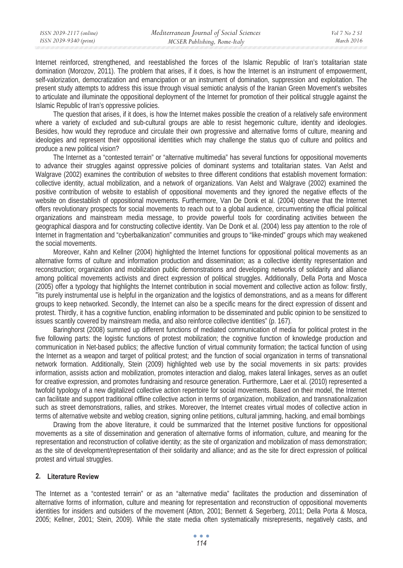Internet reinforced, strengthened, and reestablished the forces of the Islamic Republic of Iran's totalitarian state domination (Morozov, 2011). The problem that arises, if it does, is how the Internet is an instrument of empowerment, self-valorization, democratization and emancipation or an instrument of domination, suppression and exploitation. The present study attempts to address this issue through visual semiotic analysis of the Iranian Green Movement's websites to articulate and illuminate the oppositional deployment of the Internet for promotion of their political struggle against the Islamic Republic of Iran's oppressive policies.

The question that arises, if it does, is how the Internet makes possible the creation of a relatively safe environment where a variety of excluded and sub-cultural groups are able to resist hegemonic culture, identity and ideologies. Besides, how would they reproduce and circulate their own progressive and alternative forms of culture, meaning and ideologies and represent their oppositional identities which may challenge the status quo of culture and politics and produce a new political vision?

The Internet as a "contested terrain" or "alternative multimedia" has several functions for oppositional movements to advance their struggles against oppressive policies of dominant systems and totalitarian states. Van Aelst and Walgrave (2002) examines the contribution of websites to three different conditions that establish movement formation: collective identity, actual mobilization, and a network of organizations. Van Aelst and Walgrave (2002) examined the positive contribution of website to establish of oppositional movements and they ignored the negative effects of the website on disestablish of oppositional movements. Furthermore, Van De Donk et al. (2004) observe that the Internet offers revolutionary prospects for social movements to reach out to a global audience, circumventing the official political organizations and mainstream media message, to provide powerful tools for coordinating activities between the geographical diaspora and for constructing collective identity. Van De Donk et al. (2004) less pay attention to the role of Internet in fragmentation and "cyberbalkanization" communities and groups to "like-minded" groups which may weakened the social movements.

Moreover, Kahn and Kellner (2004) highlighted the Internet functions for oppositional political movements as an alternative forms of culture and information production and dissemination; as a collective identity representation and reconstruction; organization and mobilization public demonstrations and developing networks of solidarity and alliance among political movements activists and direct expression of political struggles. Additionally, Della Porta and Mosca (2005) offer a typology that highlights the Internet contribution in social movement and collective action as follow: firstly, "its purely instrumental use is helpful in the organization and the logistics of demonstrations, and as a means for different groups to keep networked. Secondly, the Internet can also be a specific means for the direct expression of dissent and protest. Thirdly, it has a cognitive function, enabling information to be disseminated and public opinion to be sensitized to issues scantily covered by mainstream media, and also reinforce collective identities" (p. 167).

Baringhorst (2008) summed up different functions of mediated communication of media for political protest in the five following parts: the logistic functions of protest mobilization; the cognitive function of knowledge production and communication in Net-based publics; the affective function of virtual community formation; the tactical function of using the Internet as a weapon and target of political protest; and the function of social organization in terms of transnational network formation. Additionally, Stein (2009) highlighted web use by the social movements in six parts: provides information, assists action and mobilization, promotes interaction and dialog, makes lateral linkages, serves as an outlet for creative expression, and promotes fundraising and resource generation. Furthermore, Laer et al. (2010) represented a twofold typology of a new digitalized collective action repertoire for social movements. Based on their model, the Internet can facilitate and support traditional offline collective action in terms of organization, mobilization, and transnationalization such as street demonstrations, rallies, and strikes. Moreover, the Internet creates virtual modes of collective action in terms of alternative website and weblog creation, signing online petitions, cultural jamming, hacking, and email bombings

Drawing from the above literature, it could be summarized that the Internet positive functions for oppositional movements as a site of dissemination and generation of alternative forms of information, culture, and meaning for the representation and reconstruction of collative identity; as the site of organization and mobilization of mass demonstration; as the site of development/representation of their solidarity and alliance; and as the site for direct expression of political protest and virtual struggles.

### **2. Literature Review**

The Internet as a "contested terrain" or as an "alternative media" facilitates the production and dissemination of alternative forms of information, culture and meaning for representation and reconstruction of oppositional movements identities for insiders and outsiders of the movement (Atton, 2001; Bennett & Segerberg, 2011; Della Porta & Mosca, 2005; Kellner, 2001; Stein, 2009). While the state media often systematically misrepresents, negatively casts, and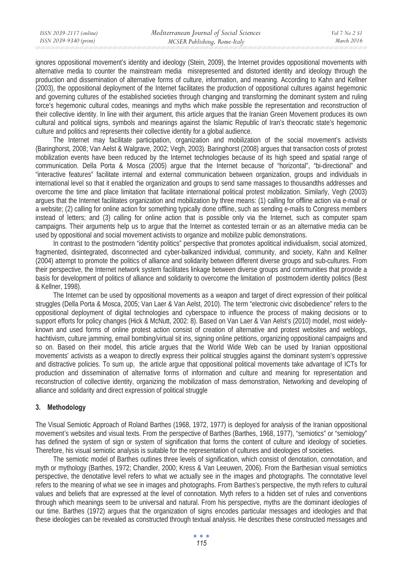ignores oppositional movement's identity and ideology (Stein, 2009), the Internet provides oppositional movements with alternative media to counter the mainstream media misrepresented and distorted identity and ideology through the production and dissemination of alternative forms of culture, information, and meaning. According to Kahn and Kellner (2003), the oppositional deployment of the Internet facilitates the production of oppositional cultures against hegemonic and governing cultures of the established societies through changing and transforming the dominant system and ruling force's hegemonic cultural codes, meanings and myths which make possible the representation and reconstruction of their collective identity. In line with their argument, this article argues that the Iranian Green Movement produces its own cultural and political signs, symbols and meanings against the Islamic Republic of Iran's theocratic state's hegemonic culture and politics and represents their collective identity for a global audience.

The Internet may facilitate participation, organization and mobilization of the social movement's activists (Baringhorst, 2008; Van Aelst & Walgrave, 2002; Vegh, 2003). Baringhorst (2008) argues that transaction costs of protest mobilization events have been reduced by the Internet technologies because of its high speed and spatial range of communication. Della Porta & Mosca (2005) argue that the Internet because of "horizontal", "bi-directional" and "interactive features" facilitate internal and external communication between organization, groups and individuals in international level so that it enabled the organization and groups to send same massages to thousandths addresses and overcome the time and place limitation that facilitate international political protest mobilization. Similarly, Vegh (2003) argues that the Internet facilitates organization and mobilization by three means: (1) calling for offline action via e-mail or a website; (2) calling for online action for something typically done offline, such as sending e-mails to Congress members instead of letters; and (3) calling for online action that is possible only via the Internet, such as computer spam campaigns. Their arguments help us to argue that the Internet as contested terrain or as an alternative media can be used by oppositional and social movement activists to organize and mobilize public demonstrations.

In contrast to the postmodern "identity politics" perspective that promotes apolitical individualism, social atomized, fragmented, disintegrated, disconnected and cyber-balkanized individual, community, and society, Kahn and Kellner (2004) attempt to promote the politics of alliance and solidarity between different diverse groups and sub-cultures. From their perspective, the Internet network system facilitates linkage between diverse groups and communities that provide a basis for development of politics of alliance and solidarity to overcome the limitation of postmodern identity politics (Best & Kellner, 1998).

The Internet can be used by oppositional movements as a weapon and target of direct expression of their political struggles (Della Porta & Mosca, 2005; Van Laer & Van Aelst, 2010). The term "electronic civic disobedience" refers to the oppositional deployment of digital technologies and cyberspace to influence the process of making decisions or to support efforts for policy changes (Hick & McNutt, 2002: 8). Based on Van Laer & Van Aelst's (2010) model, most widelyknown and used forms of online protest action consist of creation of alternative and protest websites and weblogs, hachtivism, culture jamming, email bombing/virtual sit ins, signing online petitions, organizing oppositional campaigns and so on. Based on their model, this article argues that the World Wide Web can be used by Iranian oppositional movements' activists as a weapon to directly express their political struggles against the dominant system's oppressive and distractive policies. To sum up, the article argue that oppositional political movements take advantage of ICTs for production and dissemination of alternative forms of information and culture and meaning for representation and reconstruction of collective identity, organizing the mobilization of mass demonstration, Networking and developing of alliance and solidarity and direct expression of political struggle

## **3. Methodology**

The Visual Semiotic Approach of Roland Barthes (1968, 1972, 1977) is deployed for analysis of the Iranian oppositional movement's websites and visual texts. From the perspective of Barthes (Barthes, 1968, 1977), "semiotics" or "semiology" has defined the system of sign or system of signification that forms the content of culture and ideology of societies. Therefore, his visual semiotic analysis is suitable for the representation of cultures and ideologies of societies.

The semiotic model of Barthes outlines three levels of signification, which consist of denotation, connotation, and myth or mythology (Barthes, 1972; Chandler, 2000; Kress & Van Leeuwen, 2006). From the Barthesian visual semiotics perspective, the denotative level refers to what we actually see in the images and photographs. The connotative level refers to the meaning of what we see in images and photographs. From Barthes's perspective, the myth refers to cultural values and beliefs that are expressed at the level of connotation. Myth refers to a hidden set of rules and conventions through which meanings seem to be universal and natural. From his perspective, myths are the dominant ideologies of our time. Barthes (1972) argues that the organization of signs encodes particular messages and ideologies and that these ideologies can be revealed as constructed through textual analysis. He describes these constructed messages and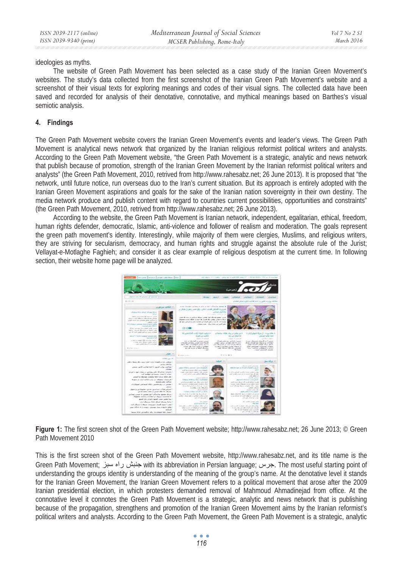ideologies as myths.

The website of Green Path Movement has been selected as a case study of the Iranian Green Movement's websites. The study's data collected from the first screenshot of the Iranian Green Path Movement's website and a screenshot of their visual texts for exploring meanings and codes of their visual signs. The collected data have been saved and recorded for analysis of their denotative, connotative, and mythical meanings based on Barthes's visual semiotic analysis.

## **4. Findings**

The Green Path Movement website covers the Iranian Green Movement's events and leader's views. The Green Path Movement is analytical news network that organized by the Iranian religious reformist political writers and analysts. According to the Green Path Movement website, "the Green Path Movement is a strategic, analytic and news network that publish because of promotion, strength of the Iranian Green Movement by the Iranian reformist political writers and analysts" (the Green Path Movement, 2010, retrived from http://www.rahesabz.net; 26 June 2013). It is proposed that "the network, until future notice, run overseas duo to the Iran's current situation. But its approach is entirely adopted with the Iranian Green Movement aspirations and goals for the sake of the Iranian nation sovereignty in their own destiny. The media network produce and publish content with regard to countries current possibilities, opportunities and constraints" (the Green Path Movement, 2010, retrived from http://www.rahesabz.net; 26 June 2013).

According to the website, the Green Path Movement is Iranian network, independent, egalitarian, ethical, freedom, human rights defender, democratic, Islamic, anti-violence and follower of realism and moderation. The goals represent the green path movement's identity. Interestingly, while majority of them were clergies, Muslims, and religious writers, they are striving for secularism, democracy, and human rights and struggle against the absolute rule of the Jurist; Vellayat-e-Motlaghe Faghieh; and consider it as clear example of religious despotism at the current time. In following section, their website home page will be analyzed.



**Figure 1:** The first screen shot of the Green Path Movement website; http://www.rahesabz.net; 26 June 2013; © Green Path Movement 2010

This is the first screen shot of the Green Path Movement website, http://www.rahesabz.net, and its title name is the Green Path Movement; خبيش راه سبز with its abbreviation in Persian language; حبرس, The most useful starting point of understanding the groups identity is understanding of the meaning of the group's name. At the denotative level it stands for the Iranian Green Movement, the Iranian Green Movement refers to a political movement that arose after the 2009 Iranian presidential election, in which protesters demanded removal of Mahmoud Ahmadinejad from office. At the connotative level it connotes the Green Path Movement is a strategic, analytic and news network that is publishing because of the propagation, strengthens and promotion of the Iranian Green Movement aims by the Iranian reformist's political writers and analysts. According to the Green Path Movement, the Green Path Movement is a strategic, analytic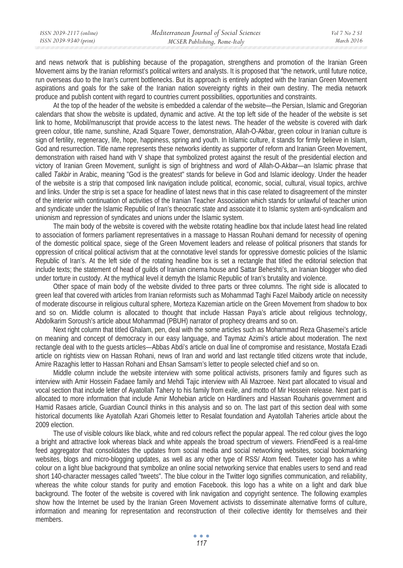and news network that is publishing because of the propagation, strengthens and promotion of the Iranian Green Movement aims by the Iranian reformist's political writers and analysts. It is proposed that "the network, until future notice, run overseas duo to the Iran's current bottlenecks. But its approach is entirely adopted with the Iranian Green Movement aspirations and goals for the sake of the Iranian nation sovereignty rights in their own destiny. The media network produce and publish content with regard to countries current possibilities, opportunities and constraints.

At the top of the header of the website is embedded a calendar of the website—the Persian, Islamic and Gregorian calendars that show the website is updated, dynamic and active. At the top left side of the header of the website is set link to home, Mobil/manuscript that provide access to the latest news. The header of the website is covered with dark green colour, title name, sunshine, Azadi Square Tower, demonstration, Allah-O-Akbar, green colour in Iranian culture is sign of fertility, regeneracy, life, hope, happiness, spring and youth. In Islamic culture, it stands for firmly believe in Islam, God and resurrection. Title name represents these networks identity as supporter of reform and Iranian Green Movement, demonstration with raised hand with V shape that symbolized protest against the result of the presidential election and victory of Iranian Green Movement, sunlight is sign of brightness and word of Allah-O-Akbar—an Islamic phrase that called *Takbir* in Arabic, meaning "God is the greatest" stands for believe in God and Islamic ideology. Under the header of the website is a strip that composed link navigation include political, economic, social, cultural, visual topics, archive and links. Under the strip is set a space for headline of latest news that in this case related to disagreement of the minster of the interior with continuation of activities of the Iranian Teacher Association which stands for unlawful of teacher union and syndicate under the Islamic Republic of Iran's theocratic state and associate it to Islamic system anti-syndicalism and unionism and repression of syndicates and unions under the Islamic system.

The main body of the website is covered with the website rotating headline box that include latest head line related to association of formers parliament representatives in a massage to Hassan Rouhani demand for necessity of opening of the domestic political space, siege of the Green Movement leaders and release of political prisoners that stands for oppression of critical political activism that at the connotative level stands for oppressive domestic policies of the Islamic Republic of Iran's. At the left side of the rotating headline box is set a rectangle that titled the editorial selection that include texts; the statement of head of guilds of Iranian cinema house and Sattar Beheshti's, an Iranian blogger who died under torture in custody. At the mythical level it demyth the Islamic Republic of Iran's brutality and violence.

Other space of main body of the website divided to three parts or three columns. The right side is allocated to green leaf that covered with articles from Iranian reformists such as Mohammad Taghi Fazel Maibody article on necessity of moderate discourse in religious cultural sphere, Morteza Kazemian article on the Green Movement from shadow to box and so on. Middle column is allocated to thought that include Hassan Paya's article about religious technology, Abdolkarim Soroush's article about Mohammad (PBUH) narrator of prophecy dreams and so on.

Next right column that titled Ghalam, pen, deal with the some articles such as Mohammad Reza Ghasemei's article on meaning and concept of democracy in our easy language, and Taymaz Azimi's article about moderation. The next rectangle deal with to the guests articles—Abbas Abdi's article on dual line of compromise and resistance, Mostafa Ezadi article on rightists view on Hassan Rohani, news of Iran and world and last rectangle titled citizens wrote that include, Amire Razaghis letter to Hassan Rohani and Ehsan Samsam's letter to people selected chief and so on.

Middle column include the website interview with some political activists, prisoners family and figures such as interview with Amir Hossein Fadaee family and Mehdi Tajic interview with Ali Mazroee. Next part allocated to visual and vocal section that include letter of Ayatollah Tahery to his family from exile, and motto of Mir Hossein release. Next part is allocated to more information that include Amir Mohebian article on Hardliners and Hassan Rouhanis government and Hamid Rasaes article, Guardian Council thinks in this analysis and so on. The last part of this section deal with some historical documents like Ayatollah Azari Ghomeis letter to Resalat foundation and Ayatollah Taheries article about the 2009 election.

The use of visible colours like black, white and red colours reflect the popular appeal. The red colour gives the logo a bright and attractive look whereas black and white appeals the broad spectrum of viewers. FriendFeed is a real-time feed aggregator that consolidates the updates from social media and social networking websites, social bookmarking websites, blogs and micro-blogging updates, as well as any other type of RSS/ Atom feed. Tweeter logo has a white colour on a light blue background that symbolize an online social networking service that enables users to send and read short 140-character messages called "tweets". The blue colour in the Twitter logo signifies communication, and reliability, whereas the white colour stands for purity and emotion Facebook. this logo has a white on a light and dark blue background. The footer of the website is covered with link navigation and copyright sentence. The following examples show how the Internet be used by the Iranian Green Movement activists to disseminate alternative forms of culture, information and meaning for representation and reconstruction of their collective identity for themselves and their members.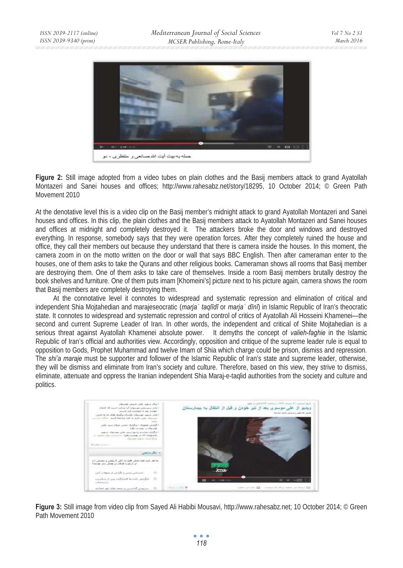

**Figure 2:** Still image adopted from a video tubes on plain clothes and the Basij members attack to grand Ayatollah Montazeri and Sanei houses and offices; http://www.rahesabz.net/story/18295, 10 October 2014; © Green Path Movement 2010

At the denotative level this is a video clip on the Basij member's midnight attack to grand Ayatollah Montazeri and Sanei houses and offices. In this clip, the plain clothes and the Basij members attack to Ayatollah Montazeri and Sanei houses and offices at midnight and completely destroyed it. The attackers broke the door and windows and destroyed everything. In response, somebody says that they were operation forces. After they completely ruined the house and office, they call their members out because they understand that there is camera inside the houses. In this moment, the camera zoom in on the motto written on the door or wall that says BBC English. Then after cameraman enter to the houses, one of them asks to take the Qurans and other religious books. Cameraman shows all rooms that Basij member are destroying them. One of them asks to take care of themselves. Inside a room Basij members brutally destroy the book shelves and furniture. One of them puts imam [Khomeini's] picture next to his picture again, camera shows the room that Basij members are completely destroying them.

At the connotative level it connotes to widespread and systematic repression and elimination of critical and independent Shia Mojtahedian and marajeseocratic (marja ' taqlīdī or marja ' dīnī) in Islamic Republic of Iran's theocratic state. It connotes to widespread and systematic repression and control of critics of Ayatollah Ali Hosseini Khamenei—the second and current Supreme Leader of Iran. In other words, the independent and critical of Shiite Mojtahedian is a serious threat against Ayatollah Khamenei absolute power. It demyths the concept of *valieh-faghie* in the Islamic Republic of Iran's official and authorities view. Accordingly, opposition and critique of the supreme leader rule is equal to opposition to Gods, Prophet Muhammad and twelve Imam of Shia which charge could be prison, dismiss and repression. The *shi'a maraje* must be supporter and follower of the Islamic Republic of Iran's state and supreme leader, otherwise, they will be dismiss and eliminate from Iran's society and culture. Therefore, based on this view, they strive to dismiss, eliminate, attenuate and oppress the Iranian independent Shia Maraj-e-taqlid authorities from the society and culture and politics.



**Figure 3:** Still image from video clip from Sayed Ali Habibi Mousavi, http://www.rahesabz.net; 10 October 2014; © Green Path Movement 2010

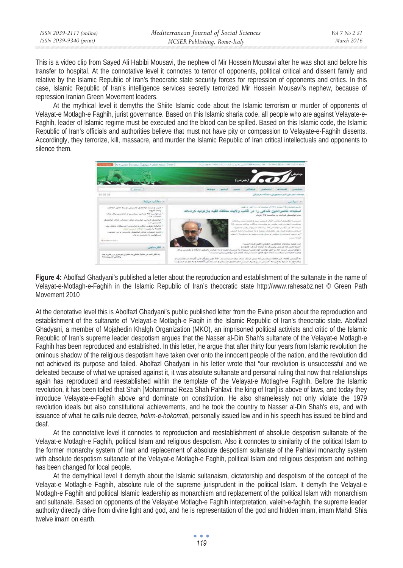This is a video clip from Sayed Ali Habibi Mousavi, the nephew of Mir Hossein Mousavi after he was shot and before his transfer to hospital. At the connotative level it connotes to terror of opponents, political critical and dissent family and relative by the Islamic Republic of Iran's theocratic state security forces for repression of opponents and critics. In this case, Islamic Republic of Iran's intelligence services secretly terrorized Mir Hossein Mousavi's nephew, because of repression Iranian Green Movement leaders.

At the mythical level it demyths the Shiite Islamic code about the Islamic terrorism or murder of opponents of Velayat-e Motlagh-e Faghih, jurist governance. Based on this Islamic sharia code, all people who are against Velayate-e-Faghih, leader of Islamic regime must be executed and the blood can be spilled. Based on this Islamic code, the Islamic Republic of Iran's officials and authorities believe that must not have pity or compassion to Velayate-e-Faghih dissents. Accordingly, they terrorize, kill, massacre, and murder the Islamic Republic of Iran critical intellectuals and opponents to silence them.



**Figure 4:** Abolfazl Ghadyani's published a letter about the reproduction and establishment of the sultanate in the name of Velayat-e-Motlagh-e-Faghih in the Islamic Republic of Iran's theocratic state http://www.rahesabz.net © Green Path Movement 2010

At the denotative level this is Abolfazl Ghadyani's public published letter from the Evine prison about the reproduction and establishment of the sultanate of 'Velayat-e Motlagh-e Faqih in the Islamic Republic of Iran's theocratic state. Abolfazl Ghadyani, a member of Mojahedin Khalgh Organization (MKO), an imprisoned political activists and critic of the Islamic Republic of Iran's supreme leader despotism argues that the Nasser al-Din Shah's sultanate of the Velayat-e Motlagh-e Faghih has been reproduced and established. In this letter, he argue that after thirty four years from Islamic revolution the ominous shadow of the religious despotism have taken over onto the innocent people of the nation, and the revolution did not achieved its purpose and failed. Abolfazl Ghadyani in his letter wrote that "our revolution is unsuccessful and we defeated because of what we upraised against it, it was absolute sultanate and personal ruling that now that relationships again has reproduced and reestablished within the template of' the Velayat-e Motlagh-e Faghih. Before the Islamic revolution, it has been tolled that Shah [Mohammad Reza Shah Pahlavi: the king of Iran] is above of laws, and today they introduce Velayate-e-Faghih above and dominate on constitution. He also shamelessly not only violate the 1979 revolution ideals but also constitutional achievements, and he took the country to Nasser al-Din Shah's era, and with issuance of what he calls rule decree, *hokm-e-hokomati*, personally issued law and in his speech has issued be blind and deaf.

At the connotative level it connotes to reproduction and reestablishment of absolute despotism sultanate of the Velayat-e Motlagh-e Faghih, political Islam and religious despotism. Also it connotes to similarity of the political Islam to the former monarchy system of Iran and replacement of absolute despotism sultanate of the Pahlavi monarchy system with absolute despotism sultanate of the Velayat-e Motlagh-e Faghih, political Islam and religious despotism and nothing has been changed for local people.

At the demythical level it demyth about the Islamic sultanaism, dictatorship and despotism of the concept of the Velayat-e Motlagh-e Faghih, absolute rule of the supreme jurisprudent in the political Islam. It demyth the Velayat-e Motlagh-e Faghih and political Islamic leadership as monarchism and replacement of the political Islam with monarchism and sultanate. Based on opponents of the Velayat-e Motlagh-e Faghih interpretation, valeih-e-faghih, the supreme leader authority directly drive from divine light and god, and he is representation of the god and hidden imam, imam Mahdi Shia twelve imam on earth.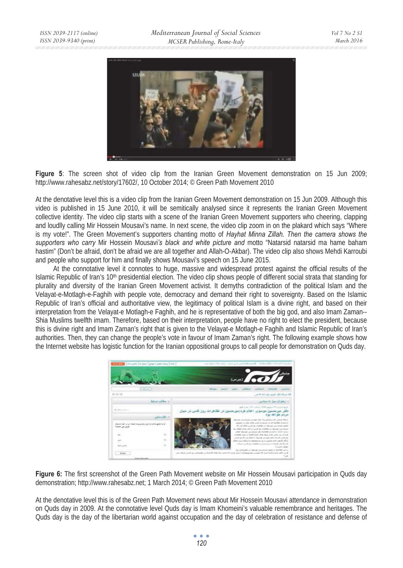

**Figure 5**: The screen shot of video clip from the Iranian Green Movement demonstration on 15 Jun 2009; http://www.rahesabz.net/story/17602/, 10 October 2014; © Green Path Movement 2010

At the denotative level this is a video clip from the Iranian Green Movement demonstration on 15 Jun 2009. Although this video is published in 15 June 2010, it will be semitically analysed since it represents the Iranian Green Movement collective identity. The video clip starts with a scene of the Iranian Green Movement supporters who cheering, clapping and loudlly calling Mir Hossein Mousavi's name. In next scene, the video clip zoom in on the plakard which says "Where is my vote!". The Green Movement's supporters chanting motto of *Hayhat Minna Zillah. Then the camera shows the supporters who carry* Mir Hossein Mousavi*'s black and white picture and* motto "Natarsid natarsid ma hame baham hastim" (Don't be afraid, don't be afraid we are all together and Allah-O-Akbar). The video clip also shows Mehdi Karroubi and people who support for him and finally shows Mousavi's speech on 15 June 2015.

At the connotative level it connotes to huge, massive and widespread protest against the official results of the Islamic Republic of Iran's 10<sup>th</sup> presidential election. The video clip shows people of different social strata that standing for plurality and diversity of the Iranian Green Movement activist. It demyths contradiction of the political Islam and the Velayat-e-Motlagh-e-Faghih with people vote, democracy and demand their right to sovereignty. Based on the Islamic Republic of Iran's official and authoritative view, the legitimacy of political Islam is a divine right, and based on their interpretation from the Velayat-e Motlagh-e Faghih, and he is representative of both the big god, and also Imam Zaman-- Shia Muslims twelfth imam. Therefore, based on their interpretation, people have no right to elect the president, because this is divine right and Imam Zaman's right that is given to the Velayat-e Motlagh-e Faghih and Islamic Republic of Iran's authorities. Then, they can change the people's vote in favour of Imam Zaman's right. The following example shows how the Internet website has logistic function for the Iranian oppositional groups to call people for demonstration on Quds day.



**Figure 6:** The first screenshot of the Green Path Movement website on Mir Hossein Mousavi participation in Quds day demonstration; http://www.rahesabz.net; 1 March 2014; © Green Path Movement 2010

At the denotative level this is of the Green Path Movement news about Mir Hossein Mousavi attendance in demonstration on Quds day in 2009. At the connotative level Quds day is Imam Khomeini's valuable remembrance and heritages. The Quds day is the day of the libertarian world against occupation and the day of celebration of resistance and defense of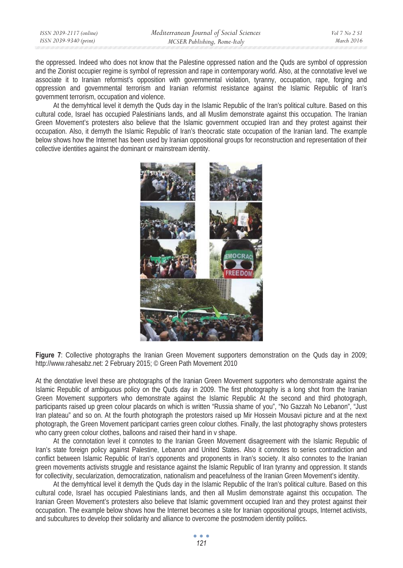| ISSN 2039-2117 (online) | Mediterranean Journal of Social Sciences | Vol 7 No 2 S1 |
|-------------------------|------------------------------------------|---------------|
| ISSN 2039-9340 (print)  | MCSER Publishing, Rome-Italy             | March 2016    |
|                         |                                          |               |

the oppressed. Indeed who does not know that the Palestine oppressed nation and the Quds are symbol of oppression and the Zionist occupier regime is symbol of repression and rape in contemporary world. Also, at the connotative level we associate it to Iranian reformist's opposition with governmental violation, tyranny, occupation, rape, forging and oppression and governmental terrorism and Iranian reformist resistance against the Islamic Republic of Iran's government terrorism, occupation and violence.

At the demyhtical level it demyth the Quds day in the Islamic Republic of the Iran's political culture. Based on this cultural code, Israel has occupied Palestinians lands, and all Muslim demonstrate against this occupation. The Iranian Green Movement's protesters also believe that the Islamic government occupied Iran and they protest against their occupation. Also, it demyth the Islamic Republic of Iran's theocratic state occupation of the Iranian land. The example below shows how the Internet has been used by Iranian oppositional groups for reconstruction and representation of their collective identities against the dominant or mainstream identity.



**Figure 7**: Collective photographs the Iranian Green Movement supporters demonstration on the Quds day in 2009; http://www.rahesabz.net: 2 February 2015; © Green Path Movement 2010

At the denotative level these are photographs of the Iranian Green Movement supporters who demonstrate against the Islamic Republic of ambiguous policy on the Quds day in 2009. The first photography is a long shot from the Iranian Green Movement supporters who demonstrate against the Islamic Republic At the second and third photograph, participants raised up green colour placards on which is written "Russia shame of you", "No Gazzah No Lebanon", "Just Iran plateau" and so on. At the fourth photograph the protestors raised up Mir Hossein Mousavi picture and at the next photograph, the Green Movement participant carries green colour clothes. Finally, the last photography shows protesters who carry green colour clothes, balloons and raised their hand in v shape.

At the connotation level it connotes to the Iranian Green Movement disagreement with the Islamic Republic of Iran's state foreign policy against Palestine, Lebanon and United States. Also it connotes to series contradiction and conflict between Islamic Republic of Iran's opponents and proponents in Iran's society. It also connotes to the Iranian green movements activists struggle and resistance against the Islamic Republic of Iran tyranny and oppression. It stands for collectivity, secularization, democratization, nationalism and peacefulness of the Iranian Green Movement's identity.

At the demyhtical level it demyth the Quds day in the Islamic Republic of the Iran's political culture. Based on this cultural code, Israel has occupied Palestinians lands, and then all Muslim demonstrate against this occupation. The Iranian Green Movement's protesters also believe that Islamic government occupied Iran and they protest against their occupation. The example below shows how the Internet becomes a site for Iranian oppositional groups, Internet activists, and subcultures to develop their solidarity and alliance to overcome the postmodern identity politics.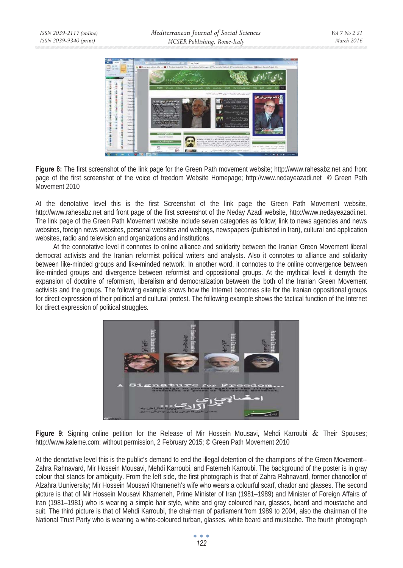

**Figure 8:** The first screenshot of the link page for the Green Path movement website; http://www.rahesabz.net and front page of the first screenshot of the voice of freedom Website Homepage; http://www.nedayeazadi.net © Green Path Movement 2010

At the denotative level this is the first Screenshot of the link page the Green Path Movement website, http://www.rahesabz.net and front page of the first screenshot of the Neday Azadi website, http://www.nedayeazadi.net. The link page of the Green Path Movement website include seven categories as follow; link to news agencies and news websites, foreign news websites, personal websites and weblogs, newspapers (published in Iran), cultural and application websites, radio and television and organizations and institutions.

At the connotative level it connotes to online alliance and solidarity between the Iranian Green Movement liberal democrat activists and the Iranian reformist political writers and analysts. Also it connotes to alliance and solidarity between like-minded groups and like-minded network. In another word, it connotes to the online convergence between like-minded groups and divergence between reformist and oppositional groups. At the mythical level it demyth the expansion of doctrine of reformism, liberalism and democratization between the both of the Iranian Green Movement activists and the groups. The following example shows how the Internet becomes site for the Iranian oppositional groups for direct expression of their political and cultural protest. The following example shows the tactical function of the Internet for direct expression of political struggles.



**Figure 9**: Signing online petition for the Release of Mir Hossein Mousavi, Mehdi Karroubi & Their Spouses; http://www.kaleme.com: without permission, 2 February 2015; © Green Path Movement 2010

At the denotative level this is the public's demand to end the illegal detention of the champions of the Green Movement-- Zahra Rahnavard, Mir Hossein Mousavi, Mehdi Karroubi, and Fatemeh Karroubi. The background of the poster is in gray colour that stands for ambiguity. From the left side, the first photograph is that of Zahra Rahnavard, former chancellor of Alzahra Uuniversity; Mir Hossein Mousavi Khameneh's wife who wears a colourful scarf, chador and glasses. The second picture is that of Mir Hossein Mousavi Khameneh, Prime Minister of Iran (1981–1989) and Minister of Foreign Affairs of Iran (1981–1981) who is wearing a simple hair style, white and gray coloured hair, glasses, beard and moustache and suit. The third picture is that of Mehdi Karroubi, the chairman of parliament from 1989 to 2004, also the chairman of the National Trust Party who is wearing a white-coloured turban, glasses, white beard and mustache. The fourth photograph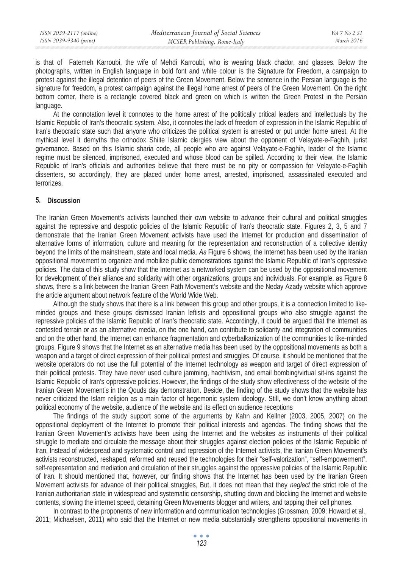is that of Fatemeh Karroubi, the wife of Mehdi Karroubi, who is wearing black chador, and glasses. Below the photographs, written in English language in bold font and white colour is the Signature for Freedom, a campaign to protest against the illegal detention of peers of the Green Movement. Below the sentence in the Persian language is the signature for freedom, a protest campaign against the illegal home arrest of peers of the Green Movement. On the right bottom corner, there is a rectangle covered black and green on which is written the Green Protest in the Persian language.

At the connotation level it connotes to the home arrest of the politically critical leaders and intellectuals by the Islamic Republic of Iran's theocratic system. Also, it connotes the lack of freedom of expression in the Islamic Republic of Iran's theocratic state such that anyone who criticizes the political system is arrested or put under home arrest. At the mythical level it demyths the orthodox Shiite Islamic clergies view about the opponent of Velayate-e-Faghih, jurist governance. Based on this Islamic sharia code, all people who are against Velayate-e-Faghih, leader of the Islamic regime must be silenced, imprisoned, executed and whose blood can be spilled. According to their view, the Islamic Republic of Iran's officials and authorities believe that there must be no pity or compassion for Velayate-e-Faghih dissenters, so accordingly, they are placed under home arrest, arrested, imprisoned, assassinated executed and terrorizes.

### **5. Discussion**

The Iranian Green Movement's activists launched their own website to advance their cultural and political struggles against the repressive and despotic policies of the Islamic Republic of Iran's theocratic state. Figures 2, 3, 5 and 7 demonstrate that the Iranian Green Movement activists have used the Internet for production and dissemination of alternative forms of information, culture and meaning for the representation and reconstruction of a collective identity beyond the limits of the mainstream, state and local media. *As* Figure 6 shows*,* the Internet has been used by the Iranian oppositional movement to organize and mobilize public demonstrations against the Islamic Republic of Iran's oppressive policies. The data of this study show that the Internet as a networked system can be used by the oppositional movement for development of their alliance and solidarity with other organizations, groups and individuals. For example, as Figure 8 shows, there is a link between the Iranian Green Path Movement's website and the Neday Azady website which approve the article argument about network feature of the World Wide Web.

Although the study shows that there is a link between this group and other groups, it is a connection limited to likeminded groups and these groups dismissed Iranian leftists and oppositional groups who also struggle against the repressive policies of the Islamic Republic of Iran's theocratic state. Accordingly, it could be argued that the Internet as contested terrain or as an alternative media, on the one hand, can contribute to solidarity and integration of communities and on the other hand, the Internet can enhance fragmentation and cyberbalkanization of the communities to like-minded groups*.* Figure 9 shows that the Internet as an alternative media has been used by the oppositional movements as both a weapon and a target of direct expression of their political protest and struggles. Of course, it should be mentioned that the website operators do not use the full potential of the Internet technology as weapon and target of direct expression of their political protests. They have never used culture jamming, hachtivism, and email bombing/virtual sit-ins against the Islamic Republic of Iran's oppressive policies. However, the findings of the study show effectiveness of the website of the Iranian Green Movement's in the Qouds day demonstration. Beside, the finding of the study shows that the website has never criticized the Islam religion as a main factor of hegemonic system ideology. Still, we don't know anything about political economy of the website, audience of the website and its effect on audience receptions

The findings of the study support some of the arguments by Kahn and Kellner (2003, 2005, 2007) on the oppositional deployment of the Internet to promote their political interests and agendas. The finding shows that the Iranian Green Movement's activists have been using the Internet and the websites as instruments of their political struggle to mediate and circulate the message about their struggles against election policies of the Islamic Republic of Iran. Instead of widespread and systematic control and repression of the Internet activists, the Iranian Green Movement's activists reconstructed, reshaped, reformed and reused the technologies for their "self-valorization", "self-empowerment", self-representation and mediation and circulation of their struggles against the oppressive policies of the Islamic Republic of Iran*.* It should mentioned that, however, our finding shows that the Internet has been used by the Iranian Green Movement activists for advance of their political struggles, But, it does not mean that they *neglect* the strict role of the Iranian authoritarian state in widespread and systematic censorship, shutting down and blocking the Internet and website contents, slowing the internet speed, detaining Green Movements blogger and writers, and tapping their cell phones.

In contrast to the proponents of new information and communication technologies (Grossman, 2009; Howard et al., 2011; Michaelsen, 2011) who said that the Internet or new media substantially strengthens oppositional movements in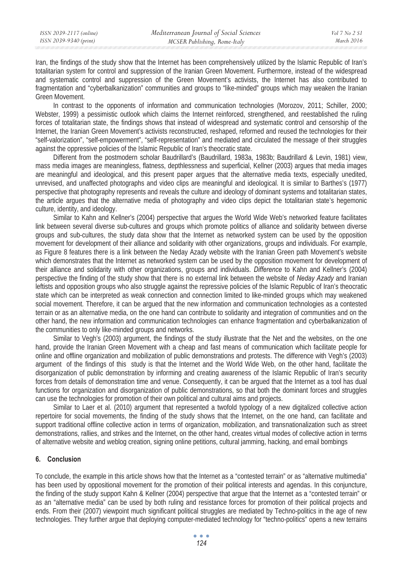Iran, the findings of the study show that the Internet has been comprehensively utilized by the Islamic Republic of Iran's totalitarian system for control and suppression of the Iranian Green Movement. Furthermore, instead of the widespread and systematic control and suppression of the Green Movement's activists, the Internet has also contributed to fragmentation and "cyberbalkanization" communities and groups to "like-minded" groups which may weaken the Iranian Green Movement.

In contrast to the opponents of information and communication technologies (Morozov, 2011; Schiller, 2000; Webster, 1999) a pessimistic outlook which claims the Internet reinforced, strengthened, and reestablished the ruling forces of totalitarian state, the findings shows that instead of widespread and systematic control and censorship of the Internet, the Iranian Green Movement's activists reconstructed, reshaped, reformed and reused the technologies for their "self-valorization", "self-empowerment", "self-representation" and mediated and circulated the message of their struggles against the oppressive policies of the Islamic Republic of Iran's theocratic state.

Different from the postmodern scholar Baudrillard's (Baudrillard, 1983a, 1983b; Baudrillard & Levin, 1981) view, mass media images are meaningless, flatness, depthlessness and superficial, Kellner (2003) argues that media images are meaningful and ideological, and this present paper argues that the alternative media texts, especially unedited, unrevised, and unaffected photographs and video clips are meaningful and ideological. It is similar to Barthes's (1977) perspective that photography represents and reveals the culture and ideology of dominant systems and totalitarian states, the article argues that the alternative media of photography and video clips depict the totalitarian state's hegemonic culture, identity, and ideology.

Similar to Kahn and Kellner's (2004) perspective that argues the World Wide Web's networked feature facilitates link between several diverse sub-cultures and groups which promote politics of alliance and solidarity between diverse groups and sub-cultures, the study data show that the Internet as networked system can be used by the opposition movement for development of their alliance and solidarity with other organizations, groups and individuals. For example, as Figure 8 features there is a link between the Neday Azady website with the Iranian Green path Movement's website which demonstrates that the Internet as networked system can be used by the opposition movement for development of their alliance and solidarity with other organizations, groups and individuals. *Difference* to Kahn and Kellner's (2004) perspective the finding of the study show that there is no external link between the website of *Neday Azady* and Iranian leftists and opposition groups who also struggle against the repressive policies of the Islamic Republic of Iran's theocratic state which can be interpreted as weak connection and connection limited to like-minded groups which may weakened social movement*.* Therefore, it can be argued that the new information and communication technologies as a contested terrain or as an alternative media, on the one hand can contribute to solidarity and integration of communities and on the other hand, the new information and communication technologies can enhance fragmentation and cyberbalkanization of the communities to only like-minded groups and networks.

Similar to Vegh's (2003) argument, the findings of the study illustrate that the Net and the websites, on the one hand, provide the Iranian Green Movement with a cheap and fast means of communication which facilitate people for online and offline organization and mobilization of public demonstrations and protests. The difference with Vegh's (2003) argument of the findings of this study is that the Internet and the World Wide Web, on the other hand, facilitate the disorganization of public demonstration by informing and creating awareness of the Islamic Republic of Iran's security forces from details of demonstration time and venue. Consequently, it can be argued that the Internet as a tool has dual functions for organization and disorganization of public demonstrations, so that both the dominant forces and struggles can use the technologies for promotion of their own political and cultural aims and projects.

Similar to Laer et al. (2010) argument that represented a twofold typology of a new digitalized collective action repertoire for social movements, the finding of the study shows that the Internet, on the one hand, can facilitate and support traditional offline collective action in terms of organization, mobilization, and transnationalization such as street demonstrations, rallies, and strikes and the Internet, on the other hand, creates virtual modes of collective action in terms of alternative website and weblog creation, signing online petitions, cultural jamming, hacking, and email bombings

### **6. Conclusion**

To conclude, the example in this article shows how that the Internet as a "contested terrain" or as "alternative multimedia" has been used by oppositional movement for the promotion of their political interests and agendas. In this conjuncture, the finding of the study support Kahn & Kellner (2004) perspective that argue that the Internet as a "contested terrain" or as an "alternative media" can be used by both ruling and resistance forces for promotion of their political projects and ends. From their (2007) viewpoint much significant political struggles are mediated by Techno-politics in the age of new technologies. They further argue that deploying computer-mediated technology for "techno-politics" opens a new terrains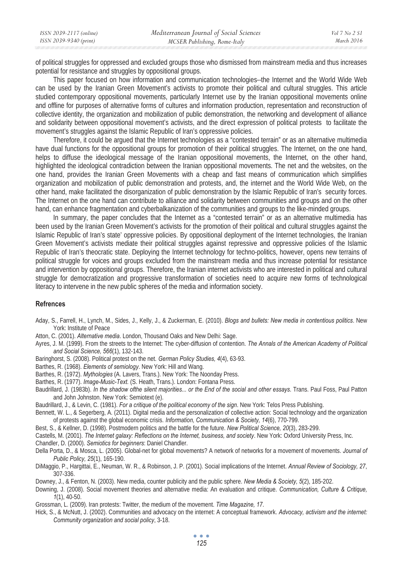| ISSN 2039-2117 (online) | Mediterranean Journal of Social Sciences | Vol 7 No 2 SI |
|-------------------------|------------------------------------------|---------------|
| ISSN 2039-9340 (print)  | MCSER Publishing, Rome-Italy             | March 2016    |

of political struggles for oppressed and excluded groups those who dismissed from mainstream media and thus increases potential for resistance and struggles by oppositional groups.

This paper focused on how information and communication technologies--the Internet and the World Wide Web can be used by the Iranian Green Movement's activists to promote their political and cultural struggles. This article studied contemporary oppositional movements, particularly Internet use by the Iranian oppositional movements online and offline for purposes of alternative forms of cultures and information production, representation and reconstruction of collective identity, the organization and mobilization of public demonstration, the networking and development of alliance and solidarity between oppositional movement's activists, and the direct expression of political protests to facilitate the movement's struggles against the Islamic Republic of Iran's oppressive policies.

Therefore, it could be argued that the Internet technologies as a "contested terrain" or as an alternative multimedia have dual functions for the oppositional groups for promotion of their political struggles. The Internet, on the one hand, helps to diffuse the ideological message of the Iranian oppositional movements, the Internet, on the other hand, highlighted the ideological contradiction between the Iranian oppositional movements. The net and the websites, on the one hand, provides the Iranian Green Movements with a cheap and fast means of communication which simplifies organization and mobilization of public demonstration and protests, and, the internet and the World Wide Web, on the other hand, make facilitated the disorganization of public demonstration by the Islamic Republic of Iran's security forces. The Internet on the one hand can contribute to alliance and solidarity between communities and groups and on the other hand, can enhance fragmentation and cyberbalkanization of the communities and groups to the like-minded groups.

In summary, the paper concludes that the Internet as a "contested terrain" or as an alternative multimedia has been used by the Iranian Green Movement's activists for the promotion of their political and cultural struggles against the Islamic Republic of Iran's state' oppressive policies. By oppositional deployment of the Internet technologies, the Iranian Green Movement's activists mediate their political struggles against repressive and oppressive policies of the Islamic Republic of Iran's theocratic state. Deploying the Internet technology for techno-politics, however, opens new terrains of political struggle for voices and groups excluded from the mainstream media and thus increase potential for resistance and intervention by oppositional groups. Therefore, the Iranian internet activists who are interested in political and cultural struggle for democratization and progressive transformation of societies need to acquire new forms of technological literacy to intervene in the new public spheres of the media and information society.

### **Refrences**

- Aday, S., Farrell, H., Lynch, M., Sides, J., Kelly, J., & Zuckerman, E. (2010). *Blogs and bullets: New media in contentious politics*. New York: Institute of Peace
- Atton, C. (2001). *Alternative media*. London, Thousand Oaks and New Delhi: Sage.
- Ayres, J. M. (1999). From the streets to the Internet: The cyber-diffusion of contention. *The Annals of the American Academy of Political and Social Science, 566*(1), 132-143.
- Baringhorst, S. (2008). Political protest on the net. *German Policy Studies, 4*(4), 63-93.
- Barthes, R. (1968). *Elements of semiology*. New York: Hill and Wang.
- Barthes, R. (1972). *Mythologies* (A. Lavers, Trans.). New York: The Noonday Press.
- Barthes, R. (1977). *Image-Music-Text.* (S. Heath, Trans.). London: Fontana Press.
- Baudrillard, J. (1983b). *In the shadow ofthe silent majorities... or the End of the social and other essays*. Trans. Paul Foss, Paul Patton and John Johnston. New York: Semiotext (e).
- Baudrillard, J., & Levin, C. (1981). *For a critique of the political economy of the sign*. New York: Telos Press Publishing.
- Bennett, W. L., & Segerberg, A. (2011). Digital media and the personalization of collective action: Social technology and the organization of protests against the global economic crisis. *Information, Communication & Society, 14*(6), 770-799.
- Best, S., & Kellner, D. (1998). Postmodern politics and the battle for the future. *New Political Science, 20*(3), 283-299.
- Castells, M. (2001). *The Internet galaxy: Reflections on the Internet, business, and society*. New York: Oxford University Press, Inc.
- Chandler, D. (2000). *Semiotics for beginners*: Daniel Chandler.

Della Porta, D., & Mosca, L. (2005). Global-net for global movements? A network of networks for a movement of movements. *Journal of Public Policy, 25*(1), 165-190.

- DiMaggio, P., Hargittai, E., Neuman, W. R., & Robinson, J. P. (2001). Social implications of the Internet. *Annual Review of Sociology, 27*, 307-336.
- Downey, J., & Fenton, N. (2003). New media, counter publicity and the public sphere. *New Media & Society, 5*(2), 185-202.
- Downing, J. (2008). Social movement theories and alternative media: An evaluation and critique. *Communication, Culture & Critique, 1*(1), 40-50.
- Grossman, L. (2009). Iran protests: Twitter, the medium of the movement. *Time Magazine, 17*.
- Hick, S., & McNutt, J. (2002). Communities and advocacy on the internet: A conceptual framework. *Advocacy, activism and the internet: Community organization and social policy*, 3-18.